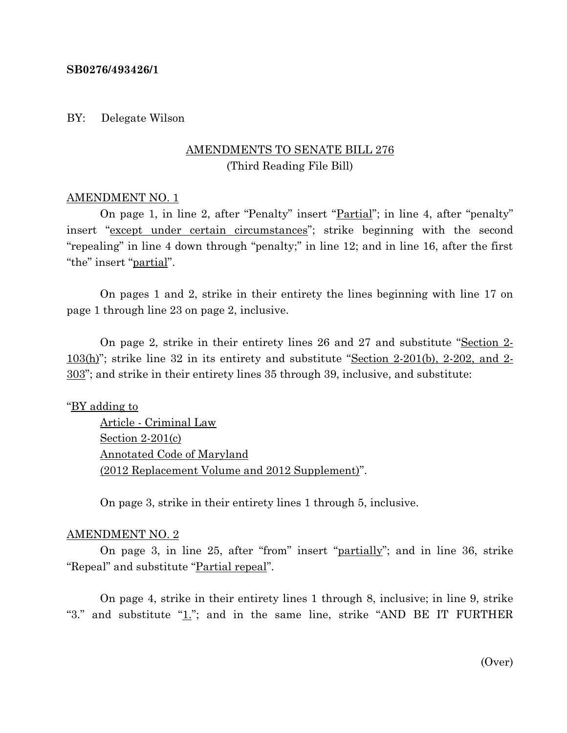#### **SB0276/493426/1**

#### BY: Delegate Wilson

# AMENDMENTS TO SENATE BILL 276 (Third Reading File Bill)

### AMENDMENT NO. 1

On page 1, in line 2, after "Penalty" insert "Partial"; in line 4, after "penalty" insert "except under certain circumstances"; strike beginning with the second "repealing" in line 4 down through "penalty;" in line 12; and in line 16, after the first "the" insert "partial".

On pages 1 and 2, strike in their entirety the lines beginning with line 17 on page 1 through line 23 on page 2, inclusive.

On page 2, strike in their entirety lines 26 and 27 and substitute "Section 2-  $103(h)$ "; strike line 32 in its entirety and substitute "Section 2-201(b), 2-202, and 2-303"; and strike in their entirety lines 35 through 39, inclusive, and substitute:

## "BY adding to

Article - Criminal Law Section 2-201(c) Annotated Code of Maryland (2012 Replacement Volume and 2012 Supplement)".

On page 3, strike in their entirety lines 1 through 5, inclusive.

#### AMENDMENT NO. 2

On page 3, in line 25, after "from" insert "partially"; and in line 36, strike "Repeal" and substitute "Partial repeal".

On page 4, strike in their entirety lines 1 through 8, inclusive; in line 9, strike "3." and substitute " $1$ ."; and in the same line, strike "AND BE IT FURTHER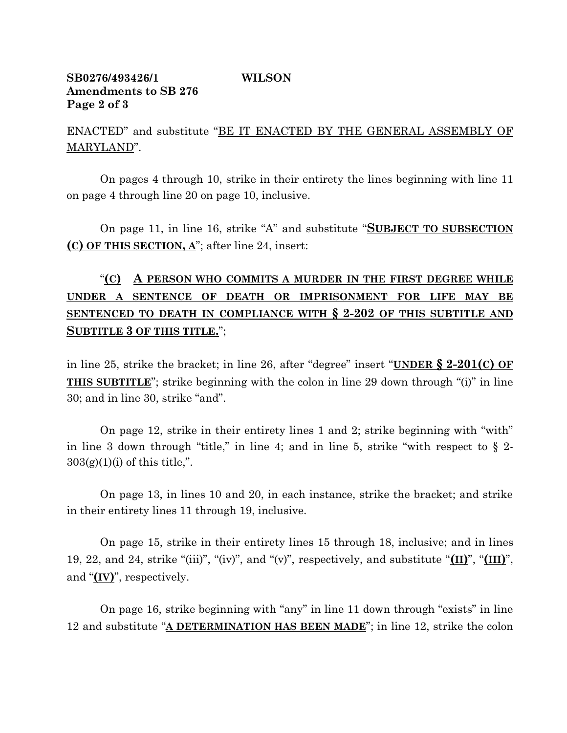# **SB0276/493426/1 WILSON Amendments to SB 276 Page 2 of 3**

ENACTED" and substitute "BE IT ENACTED BY THE GENERAL ASSEMBLY OF MARYLAND".

On pages 4 through 10, strike in their entirety the lines beginning with line 11 on page 4 through line 20 on page 10, inclusive.

On page 11, in line 16, strike "A" and substitute "**SUBJECT TO SUBSECTION (C) OF THIS SECTION, A**"; after line 24, insert:

# "**(C) A PERSON WHO COMMITS A MURDER IN THE FIRST DEGREE WHILE UNDER A SENTENCE OF DEATH OR IMPRISONMENT FOR LIFE MAY BE SENTENCED TO DEATH IN COMPLIANCE WITH § 2-202 OF THIS SUBTITLE AND SUBTITLE 3 OF THIS TITLE.**";

in line 25, strike the bracket; in line 26, after "degree" insert "**UNDER § 2-201(C) OF THIS SUBTITLE**"; strike beginning with the colon in line 29 down through "(i)" in line 30; and in line 30, strike "and".

On page 12, strike in their entirety lines 1 and 2; strike beginning with "with" in line 3 down through "title," in line 4; and in line 5, strike "with respect to  $\S$  2- $303(g)(1)(i)$  of this title,".

On page 13, in lines 10 and 20, in each instance, strike the bracket; and strike in their entirety lines 11 through 19, inclusive.

On page 15, strike in their entirety lines 15 through 18, inclusive; and in lines 19, 22, and 24, strike "(iii)", "(iv)", and "(v)", respectively, and substitute "**(II)**", "**(III)**", and "**(IV)**", respectively.

On page 16, strike beginning with "any" in line 11 down through "exists" in line 12 and substitute "**A DETERMINATION HAS BEEN MADE**"; in line 12, strike the colon